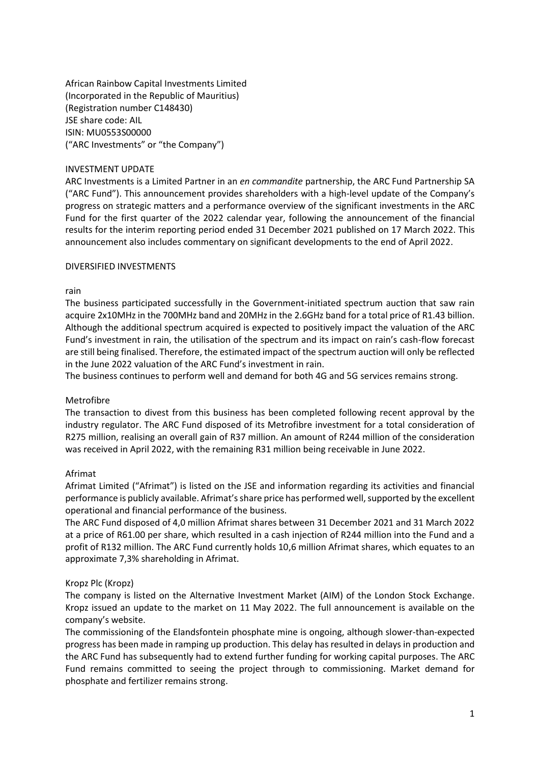African Rainbow Capital Investments Limited (Incorporated in the Republic of Mauritius) (Registration number C148430) JSE share code: AIL ISIN: MU0553S00000 ("ARC Investments" or "the Company")

### INVESTMENT UPDATE

ARC Investments is a Limited Partner in an *en commandite* partnership, the ARC Fund Partnership SA ("ARC Fund"). This announcement provides shareholders with a high-level update of the Company's progress on strategic matters and a performance overview of the significant investments in the ARC Fund for the first quarter of the 2022 calendar year, following the announcement of the financial results for the interim reporting period ended 31 December 2021 published on 17 March 2022. This announcement also includes commentary on significant developments to the end of April 2022.

### DIVERSIFIED INVESTMENTS

#### rain

The business participated successfully in the Government-initiated spectrum auction that saw rain acquire 2x10MHz in the 700MHz band and 20MHz in the 2.6GHz band for a total price of R1.43 billion. Although the additional spectrum acquired is expected to positively impact the valuation of the ARC Fund's investment in rain, the utilisation of the spectrum and its impact on rain's cash-flow forecast are still being finalised. Therefore, the estimated impact of the spectrum auction will only be reflected in the June 2022 valuation of the ARC Fund's investment in rain.

The business continues to perform well and demand for both 4G and 5G services remains strong.

### Metrofibre

The transaction to divest from this business has been completed following recent approval by the industry regulator. The ARC Fund disposed of its Metrofibre investment for a total consideration of R275 million, realising an overall gain of R37 million. An amount of R244 million of the consideration was received in April 2022, with the remaining R31 million being receivable in June 2022.

#### Afrimat

Afrimat Limited ("Afrimat") is listed on the JSE and information regarding its activities and financial performance is publicly available. Afrimat's share price has performed well, supported by the excellent operational and financial performance of the business.

The ARC Fund disposed of 4,0 million Afrimat shares between 31 December 2021 and 31 March 2022 at a price of R61.00 per share, which resulted in a cash injection of R244 million into the Fund and a profit of R132 million. The ARC Fund currently holds 10,6 million Afrimat shares, which equates to an approximate 7,3% shareholding in Afrimat.

### Kropz Plc (Kropz)

The company is listed on the Alternative Investment Market (AIM) of the London Stock Exchange. Kropz issued an update to the market on 11 May 2022. The full announcement is available on the company's website.

The commissioning of the Elandsfontein phosphate mine is ongoing, although slower-than-expected progress has been made in ramping up production. This delay has resulted in delays in production and the ARC Fund has subsequently had to extend further funding for working capital purposes. The ARC Fund remains committed to seeing the project through to commissioning. Market demand for phosphate and fertilizer remains strong.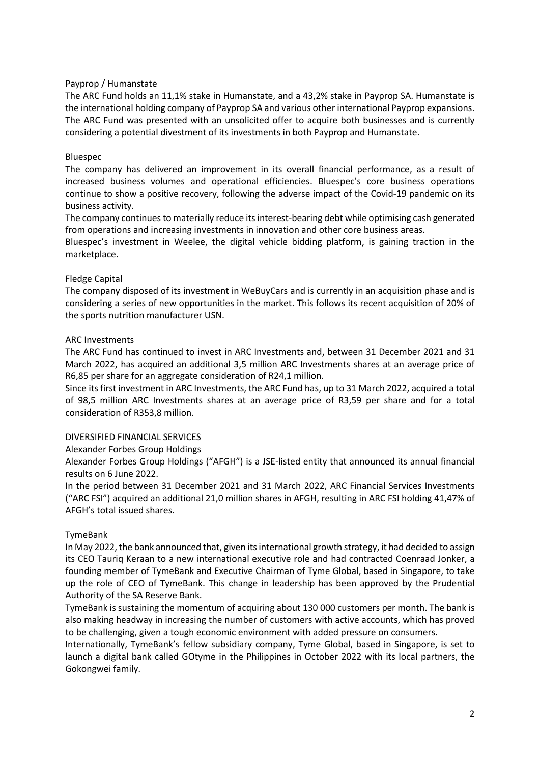# Payprop / Humanstate

The ARC Fund holds an 11,1% stake in Humanstate, and a 43,2% stake in Payprop SA. Humanstate is the international holding company of Payprop SA and various other international Payprop expansions. The ARC Fund was presented with an unsolicited offer to acquire both businesses and is currently considering a potential divestment of its investments in both Payprop and Humanstate.

# Bluespec

The company has delivered an improvement in its overall financial performance, as a result of increased business volumes and operational efficiencies. Bluespec's core business operations continue to show a positive recovery, following the adverse impact of the Covid-19 pandemic on its business activity.

The company continues to materially reduce its interest-bearing debt while optimising cash generated from operations and increasing investments in innovation and other core business areas.

Bluespec's investment in Weelee, the digital vehicle bidding platform, is gaining traction in the marketplace.

### Fledge Capital

The company disposed of its investment in WeBuyCars and is currently in an acquisition phase and is considering a series of new opportunities in the market. This follows its recent acquisition of 20% of the sports nutrition manufacturer USN.

### ARC Investments

The ARC Fund has continued to invest in ARC Investments and, between 31 December 2021 and 31 March 2022, has acquired an additional 3,5 million ARC Investments shares at an average price of R6,85 per share for an aggregate consideration of R24,1 million.

Since its first investment in ARC Investments, the ARC Fund has, up to 31 March 2022, acquired a total of 98,5 million ARC Investments shares at an average price of R3,59 per share and for a total consideration of R353,8 million.

### DIVERSIFIED FINANCIAL SERVICES

Alexander Forbes Group Holdings

Alexander Forbes Group Holdings ("AFGH") is a JSE-listed entity that announced its annual financial results on 6 June 2022.

In the period between 31 December 2021 and 31 March 2022, ARC Financial Services Investments ("ARC FSI") acquired an additional 21,0 million shares in AFGH, resulting in ARC FSI holding 41,47% of AFGH's total issued shares.

# TymeBank

In May 2022, the bank announced that, given its international growth strategy, it had decided to assign its CEO Tauriq Keraan to a new international executive role and had contracted Coenraad Jonker, a founding member of TymeBank and Executive Chairman of Tyme Global, based in Singapore, to take up the role of CEO of TymeBank. This change in leadership has been approved by the Prudential Authority of the SA Reserve Bank.

TymeBank is sustaining the momentum of acquiring about 130 000 customers per month. The bank is also making headway in increasing the number of customers with active accounts, which has proved to be challenging, given a tough economic environment with added pressure on consumers.

Internationally, TymeBank's fellow subsidiary company, Tyme Global, based in Singapore, is set to launch a digital bank called GOtyme in the Philippines in October 2022 with its local partners, the Gokongwei family.